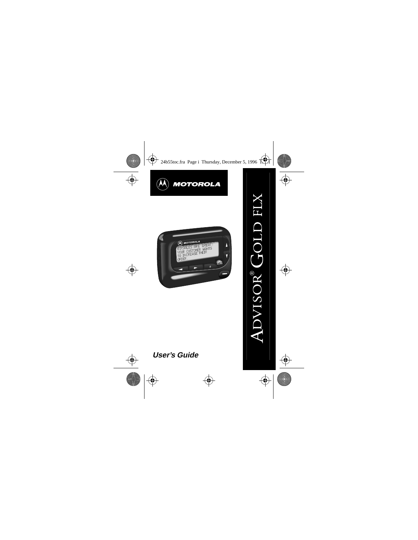



# **User's Guide**

®  $\frac{3}{2}$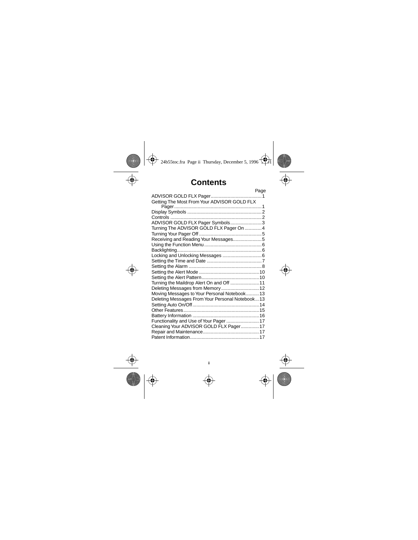# **Contents**

|                                                 | Page |
|-------------------------------------------------|------|
|                                                 |      |
| Getting The Most From Your ADVISOR GOLD FLX     |      |
|                                                 |      |
|                                                 |      |
|                                                 |      |
| ADVISOR GOLD FLX Pager Symbols3                 |      |
| Turning The ADVISOR GOLD FLX Pager On 4         |      |
|                                                 |      |
| Receiving and Reading Your Messages5            |      |
|                                                 |      |
|                                                 |      |
|                                                 |      |
|                                                 |      |
|                                                 |      |
|                                                 |      |
|                                                 |      |
| Turning the Maildrop Alert On and Off  11       |      |
| Deleting Messages from Memory 12                |      |
| Moving Messages to Your Personal Notebook 13    |      |
| Deleting Messages From Your Personal Notebook13 |      |
|                                                 |      |
|                                                 |      |
|                                                 |      |
| Functionality and Use of Your Pager 17          |      |
| Cleaning Your ADVISOR GOLD FLX Pager 17         |      |
|                                                 |      |
|                                                 |      |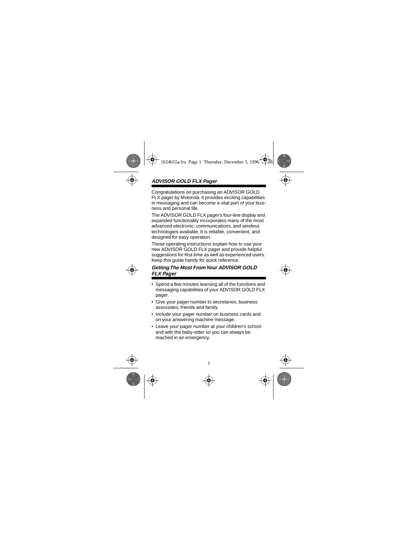# **ADVISOR GOLD FLX Pager**

Congratulations on purchasing an ADVISOR GOLD FLX pager by Motorola. It provides exciting capabilities in messaging and can become a vital part of your business and personal life.

The ADVISOR GOLD FLX pager's four-line display and expanded functionality incorporates many of the most advanced electronic, communications, and wireless technologies available. It is reliable, convenient, and designed for easy operation.

These operating instructions explain how to use your new ADVISOR GOLD FLX pager and provide helpful suggestions for first-time as well as experienced users. Keep this guide handy for quick reference.

### **Getting The Most From Your ADVISOR GOLD FLX Pager**

- Spend a few minutes learning all of the functions and messaging capabilities of your ADVISOR GOLD FLX pager.
- Give your pager number to secretaries, business associates, friends and family.
- Include your pager number on business cards and on your answering machine message.
- Leave your pager number at your children's school and with the baby-sitter so you can always be reached in an emergency.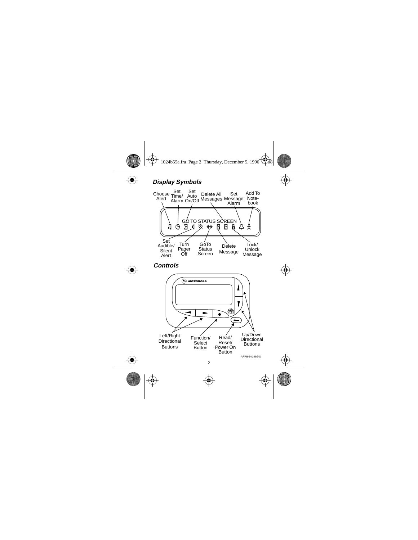# **Display Symbols**



**Controls**

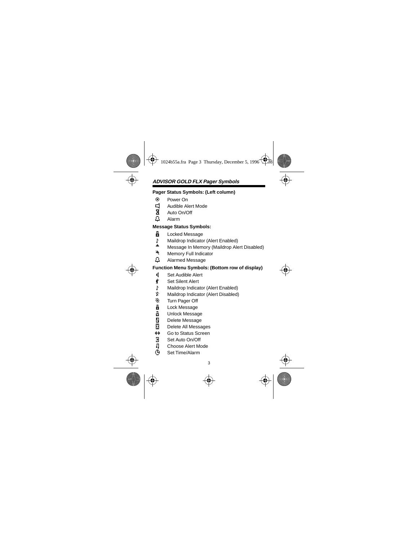# **ADVISOR GOLD FLX Pager Symbols**

#### **Pager Status Symbols: (Left column)**

- ë Power On
- **id** Audible Alert Mode<br>**h** Auto On/Off<br>*L* Alarm
- Auto On/Off
- Ö Alarm

#### **Message Status Symbols:**

- **H** Locked Message
- <sup>1</sup>: Maildrop Indicator (Alert Enabled)
- <sup>■■</sup> Message In Memory (Maildrop Alert Disabled)<br>■ Memory Full Indicator
- Memory Full Indicator
- Ö Alarmed Message

### **Function Menu Symbols: (Bottom row of display)**

- $\mathbf{\ddot{d}}$  Set Audible Alert
- Ç Set Silent Alert
- Maildrop Indicator (Alert Enabled)
- Ì Maildrop Indicator (Alert Disabled)
- ® Turn Pager Off
- <u>A</u> Lock Message<br>금 Unlock Messad
- Unlock Message
- **N** Delete Message
- **n** Delete All Messages
- ò Go to Status Screen
- å Set Auto On/Off
- **D** Choose Alert Mode
- Ñ Set Time/Alarm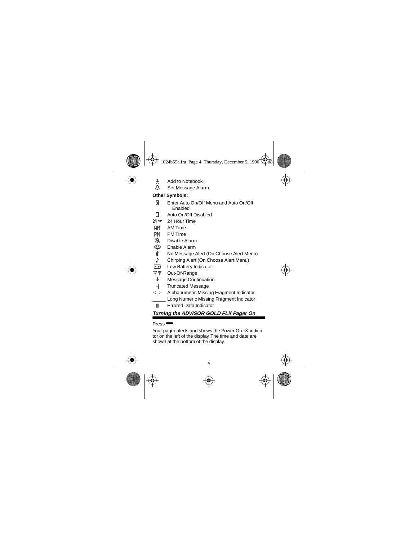- ¶ Add to Notebook
- Ö Set Message Alarm

# **Other Symbols:**

- å Enter Auto On/Off Menu and Auto On/Off Enabled
- **J** Auto On/Off Disabled
- 24hr 24 Hour Time
- AM AM Time
- PM PM Time
- Ã Disable Alarm
- À Enable Alarm
- No Message Alert (On Choose Alert Menu)
- Õ Chirping Alert (On Choose Alert Menu)
- $\overline{F}$  Low Battery Indicator
- öö Out-Of-Range
- $\overline{\Psi}$  Message Continuation
- $\overline{ }$ Truncated Message
- <..> Alphanumeric Missing Fragment Indicator \_\_\_\_\_ Long Numeric Missing Fragment Indicator
- ú Errored Data Indicator

# **Turning the ADVISOR GOLD FLX Pager On**

## Press<sup>-</sup>

Your pager alerts and shows the Power On  $\odot$  indicator on the left of the display. The time and date are shown at the bottom of the display.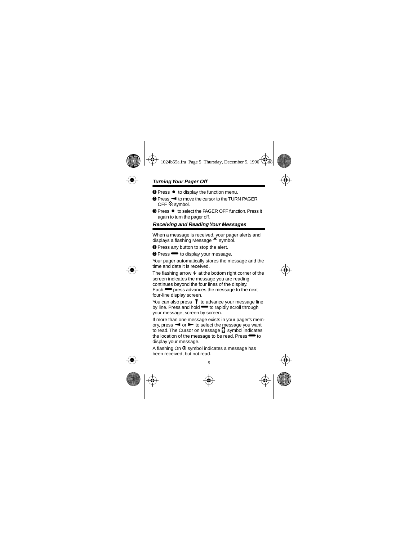# **Turning Your Pager Off**

- **Ⅰ** Press  $\bullet$  to display the function menu.
- **<sup>●</sup>** Press < to move the cursor to the TURN PAGER OFF $@$  symbol.
- **<sup>■</sup>** Press to select the PAGER OFF function. Press it again to turn the pager off.

# **Receiving and Reading Your Messages**

When a message is received, your pager alerts and displays a flashing Message  $\frac{d}{dx}$  symbol.

➊ Press any button to stop the alert.

**<sup>2</sup>** Press <sup>■</sup> to display your message.

Your pager automatically stores the message and the time and date it is received.

The flashing arrow  $\ddot{\textbf{v}}$  at the bottom right corner of the screen indicates the message you are reading continues beyond the four lines of the display.

Each **••** press advances the message to the next four-line display screen.

You can also press  $\blacktriangledown$  to advance your message line by line. Press and hold  $\blacktriangleright$  to rapidly scroll through your message, screen by screen.

If more than one message exists in your pager's memory, press  $\blacktriangleleft$  or  $\blacktriangleright$  to select the message you want to read. The Cursor on Message **II** symbol indicates the location of the message to be read. Press $\blacksquare$  to display your message.

A flashing On  $\odot$  symbol indicates a message has been received, but not read.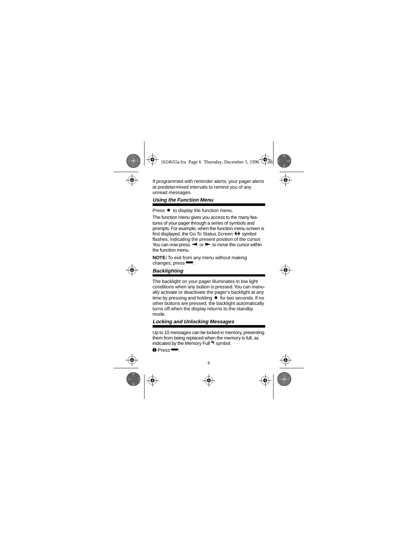If programmed with reminder alerts, your pager alerts at predetermined intervals to remind you of any unread messages.

# **Using the Function Menu**

Press  $\bullet$  to display the function menu.

The function menu gives you access to the many features of your pager through a series of symbols and prompts. For example, when the function menu screen is first displayed, the Go To Status Screen  $\biguparrow \biguparrow$  symbol flashes, indicating the present position of the cursor. You can now press  $\blacktriangleleft$  or  $\blacktriangleright$  to move the cursor within the function menu.

**NOTE:** To exit from any menu without making changes, press $\blacksquare$ .

# **Backlighting**

The backlight on your pager illuminates in low light conditions when any button is pressed. You can manually activate or deactivate the pager's backlight at any time by pressing and holding  $\bullet$  for two seconds. If no other buttons are pressed, the backlight automatically turns off when the display returns to the standby mode.

# **Locking and Unlocking Messages**

Up to 10 messages can be locked in memory, preventing them from being replaced when the memory is full, as indicated by the Memory Full \* symbol.

$$
\bullet\ \text{Press}\,\stackrel{\textstyle\phantom{.}}{\textstyle\phantom{.}}\!\!\!\bullet
$$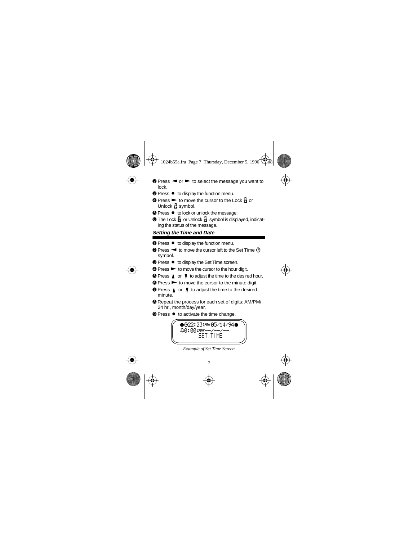- $\bullet$  Press  $\bullet$  or  $\bullet$  to select the message you want to lock.
- **<sup>●</sup>** Press to display the function menu.
- $\bullet$  Press  $\blacktriangleright$  to move the cursor to the Lock  $\frac{1}{\bullet}$  or Unlock  $\frac{1}{11}$  symbol.
- **☉ Press to lock or unlock the message.**
- $\odot$  The Lock  $\ddot{H}$  or Unlock  $\ddot{H}$  symbol is displayed, indicating the status of the message.

## **Setting the Time and Date**

- **Ⅰ** Press to display the function menu.
- **❷ Press <sup>▲</sup> to move the cursor left to the Set Time ①** symbol.
- **<sup>●</sup>** Press to display the Set Time screen.
- $\bullet$  Press  $\bullet$  to move the cursor to the hour digit.
- $\Theta$  Press  $\triangle$  or  $\nabla$  to adjust the time to the desired hour.
- $\odot$  Press  $\triangleright$  to move the cursor to the minute digit.
- $\bullet$  Press  $\uparrow$  or  $\uparrow$  to adiust the time to the desired minute.
- ➑ Repeat the process for each set of digits: AM/PM/ 24 hr., month/day/year.
- **■** Press to activate the time change.



*Example of Set Time Screen*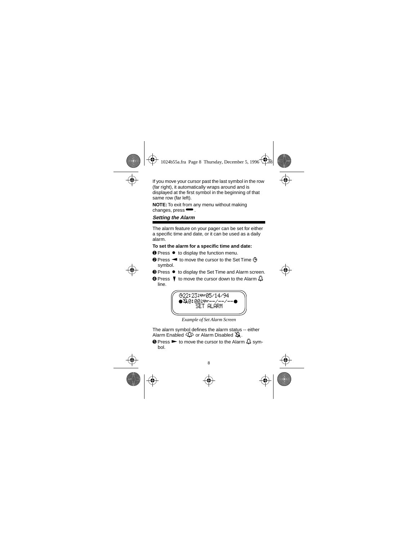If you move your cursor past the last symbol in the row (far right), it automatically wraps around and is displayed at the first symbol in the beginning of that same row (far left).

**NOTE:** To exit from any menu without making changes, press $\blacksquare$ .

# **Setting the Alarm**

The alarm feature on your pager can be set for either a specific time and date, or it can be used as a daily alarm.

#### **To set the alarm for a specific time and date:**

- **O** Press to display the function menu.
- **❷** Press < to move the cursor to the Set Time **Ñ** symbol.
- <sup>➌</sup> Press Á to display the Set Time and Alarm screen.
- **☉ Press ▼ to move the cursor down to the Alarm**  $\Omega$ line.



*Example of Set Alarm Screen*

The alarm symbol defines the alarm status -- either Alarm Enabled <sup>2</sup><sup>3</sup> or Alarm Disabled  $\Delta$ .

 $\odot$  Press  $\triangleright$  to move the cursor to the Alarm  $\Box$  symbol.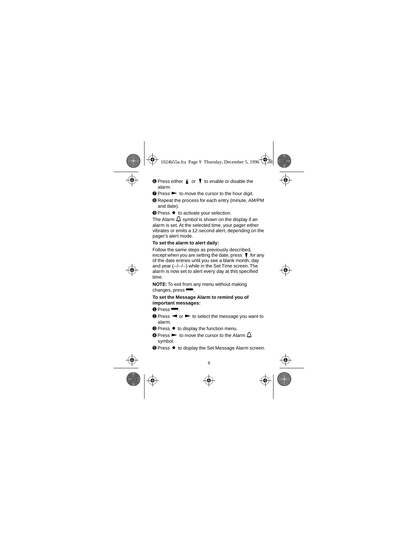- $\bullet$  Press either  $\uparrow$  or  $\uparrow$  to enable or disable the alarm.
- $\bullet$  Press  $\bullet$  to move the cursor to the hour digit.
- ➑ Repeat the process for each entry (minute, AM/PM and date).

**<sup>●</sup>** Press ● to activate your selection.

The Alarm  $\mathbf \Box$  symbol is shown on the display if an alarm is set. At the selected time, your pager either vibrates or emits a 12-second alert, depending on the pager's alert mode.

#### **To set the alarm to alert daily:**

Follow the same steps as previously described, except when you are setting the date, press  $\blacktriangledown$  for any of the date entries until you see a blank month, day and year (--/--/--) while in the Set Time screen. The alarm is now set to alert every day at this specified time.

**NOTE:** To exit from any menu without making changes, press $\blacksquare$ .

#### **To set the Message Alarm to remind you of important messages:**

 $\bullet$  Press $\bullet$ 

- $\odot$  Press  $\blacktriangleleft$  or  $\blacktriangleright$  to select the message you want to alarm.
- **<sup>●</sup>** Press to display the function menu.
- $\bullet$  Press  $\blacktriangleright$  to move the cursor to the Alarm  $\Box$ symbol.
- **■** Press to display the Set Message Alarm screen.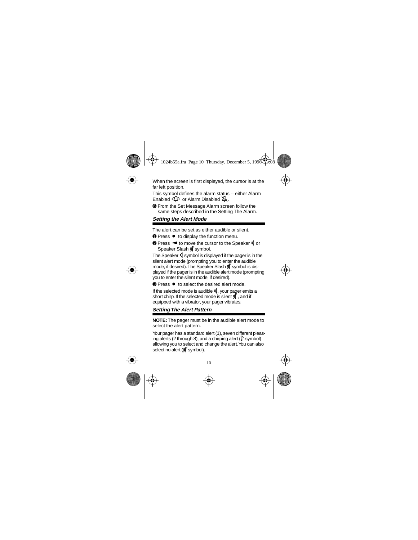When the screen is first displayed, the cursor is at the far left position.

This symbol defines the alarm status -- either Alarm Enabled  $\mathbb{D}$  or Alarm Disabled  $\mathbb{D}$ .

➏ From the Set Message Alarm screen follow the same steps described in the Setting The Alarm.

# **Setting the Alert Mode**

The alert can be set as either audible or silent.

- **O** Press to display the function menu.
- <sup>➋</sup> Press ä to move the cursor to the Speaker É or Speaker Slash **E**symbol.

The Speaker  $\blacksquare$  symbol is displayed if the pager is in the silent alert mode (prompting you to enter the audible mode, if desired). The Speaker Slash is symbol is displayed if the pager is in the audible alert mode (prompting you to enter the silent mode, if desired).

<sup>➌</sup> Press Á to select the desired alert mode.

If the selected mode is audible  $\blacksquare$ , your pager emits a short chirp. If the selected mode is silent  $\blacksquare$  and if equipped with a vibrator, your pager vibrates.

# **Setting The Alert Pattern**

**NOTE:** The pager must be in the audible alert mode to select the alert pattern.

Your pager has a standard alert (1), seven different pleasing alerts (2 through 8), and a chirping alert  $\binom{p}{k}$  symbol) allowing you to select and change the alert. You can also select no alert ( $\frac{d}{dt}$  symbol).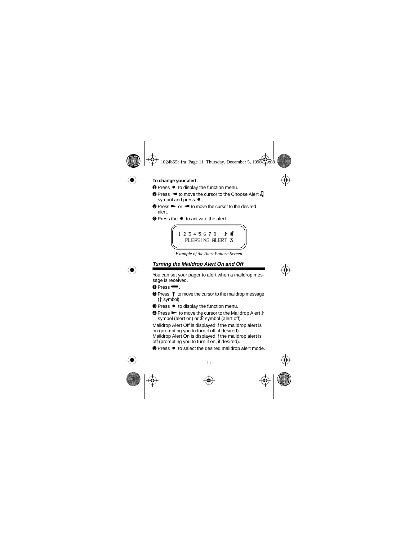#### **To change your alert:**

- **O** Press to display the function menu.
- $\bullet$  Press  $\blacktriangleleft$  to move the cursor to the Choose Alert  $\Pi$ symbol and press  $\bullet$ .
- $\odot$  Press  $\triangleright$  or  $\blacktriangleleft$  to move the cursor to the desired alert.
- **■** Press the to activate the alert.



*Example of the Alert Pattern Screen*

# **Turning the Maildrop Alert On and Off**

You can set your pager to alert when a maildrop message is received.

- $\bullet$  Press $\bullet$ .
- **<sup>●</sup>** Press ▼ to move the cursor to the maildrop message  $($  symbol).
- **<sup>●</sup>** Press to display the function menu.
- **☉ Press ► to move the cursor to the Maildrop Alert** ♪ symbol (alert on) or  $\ddagger$  symbol (alert off).

Maildrop Alert Off is displayed if the maildrop alert is on (prompting you to turn it off, if desired).

Maildrop Alert On is displayed if the maildrop alert is off (prompting you to turn it on, if desired).

**■** Press ● to select the desired maildrop alert mode.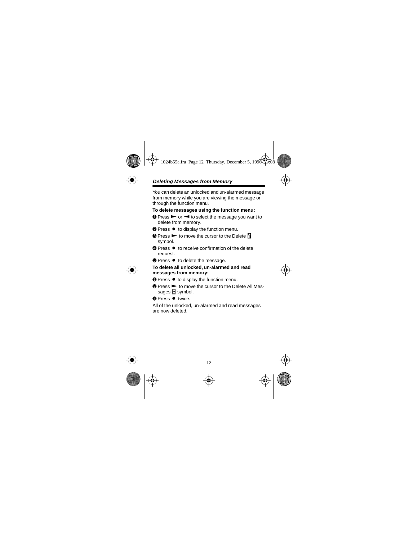# **Deleting Messages from Memory**

You can delete an unlocked and un-alarmed message from memory while you are viewing the message or through the function menu.

**To delete messages using the function menu:**

- $\bullet$  Press  $\triangleright$  or  $\blacktriangleleft$  to select the message you want to delete from memory.
- **<sup>2</sup>** Press to display the function menu.
- $\odot$  Press  $\blacktriangleright$  to move the cursor to the Delete  $\ddot{\color{red}S}$ symbol.
- **■** Press to receive confirmation of the delete request.
- **<sup>●</sup>** Press to delete the message.

#### **To delete all unlocked, un-alarmed and read messages from memory:**

- **O** Press to display the function menu.
- <sup>➋</sup> Press ã to move the cursor to the Delete All Messages  $\Box$  symbol.
- <sup>➌</sup> Press Á twice.

All of the unlocked, un-alarmed and read messages are now deleted.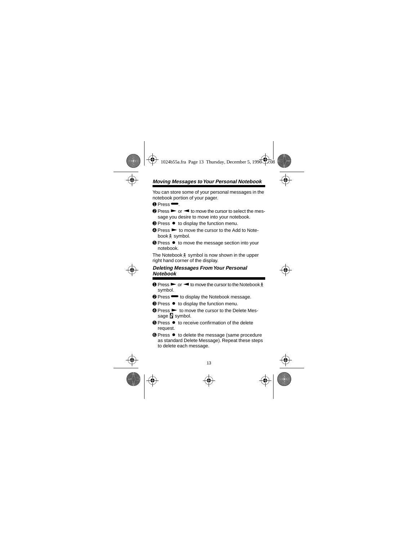# **Moving Messages to Your Personal Notebook**

You can store some of your personal messages in the notebook portion of your pager.

 $\mathbf 0$  Press  $\blacksquare$ 

- $\bullet$  Press  $\bullet$  or  $\bullet$  to move the cursor to select the message you desire to move into your notebook.
- **<sup>●</sup>** Press to display the function menu.
- $\Omega$  Press  $\blacktriangleright$  to move the cursor to the Add to Notebook  $\frac{1}{2}$  symbol.
- **■** Press to move the message section into your notebook.

The Notebook  $\frac{1}{2}$  symbol is now shown in the upper right hand corner of the display.

#### **Deleting Messages From Your Personal Notebook**

- $\bullet$  Press  $\triangleright$  or  $\blacktriangleleft$  to move the cursor to the Notebook  $\frac{1}{2}$ symbol.
- $\bullet$  Press  $\bullet$  to display the Notebook message.
- **<sup>●</sup>** Press to display the function menu.
- $\Omega$  Press  $\blacktriangleright$  to move the cursor to the Delete Message **is** symbol.
- <sup>➎</sup> Press Á to receive confirmation of the delete request.
- **☉ Press to delete the message (same procedure** as standard Delete Message). Repeat these steps to delete each message.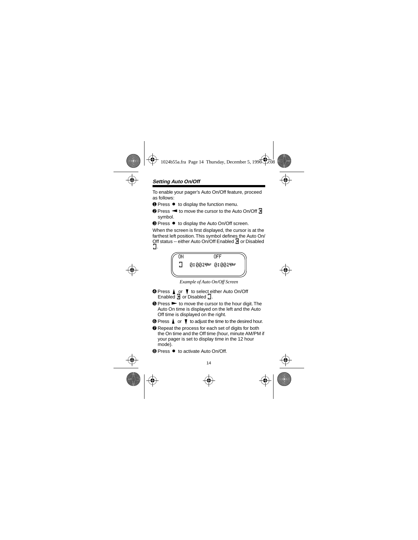To enable your pager's Auto On/Off feature, proceed as follows:

- **Ⅰ** Press  $\bullet$  to display the function menu.
- **<sup>2</sup>** Press < to move the cursor to the Auto On/Off  $\pm$ symbol.
- <sup>●</sup> Press to display the Auto On/Off screen.

When the screen is first displayed, the cursor is at the farthest left position. This symbol defines the Auto On/ Off status -- either Auto On/Off Enabled 4 or Disabled õ.



*Example of Auto On/Off Screen*

- **O** Press ▲ or ▼ to select either Auto On/Off Enabled  $\overline{A}$  or Disabled  $\overline{A}$ .
- $\odot$  Press  $\triangleright$  to move the cursor to the hour digit. The Auto On time is displayed on the left and the Auto Off time is displayed on the right.
- $\bullet$  Press  $\blacktriangle$  or  $\blacktriangledown$  to adjust the time to the desired hour.
- **■** Repeat the process for each set of digits for both the On time and the Off time (hour, minute AM/PM if your pager is set to display time in the 12 hour mode).
- **®** Press to activate Auto On/Off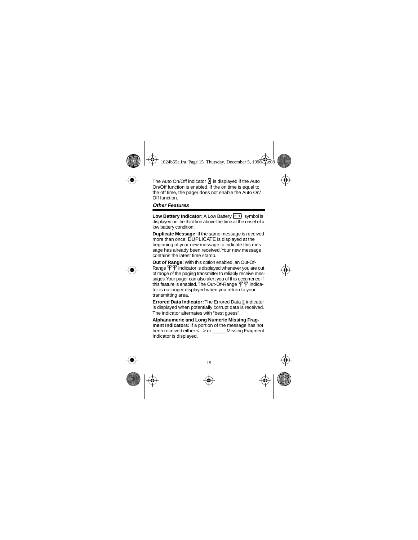The Auto On/Off indicator  $\overline{A}$  is displayed if the Auto On/Off function is enabled. If the on time is equal to the off time, the pager does not enable the Auto On/ Off function.

#### **Other Features**

Low Battery Indicator: A Low Battery **in Fig. 3** symbol is displayed on the third line above the time at the onset of a low battery condition.

**Duplicate Message:** If the same message is received more than once, DUPLICATE is displayed at the beginning of your new message to indicate this message has already been received. Your new message contains the latest time stamp.

**Out of Range:** With this option enabled, an Out-Of-Range  $\Psi \Psi$  indicator is displayed whenever you are out of range of the paging transmitter to reliably receive messages. Your pager can also alert you of this occurrence if this feature is enabled. The Out-Of-Range  $\Psi\Psi$  indicator is no longer displayed when you return to your transmitting area.

**Errored Data Indicator:** The Errored Data <sup>®</sup> indicator is displayed when potentially corrupt data is received. The indicator alternates with "best guess".

**Alphanumeric and Long Numeric Missing Fragment Indicators:** If a portion of the message has not been received either <...> or Missing Fragment Indicator is displayed.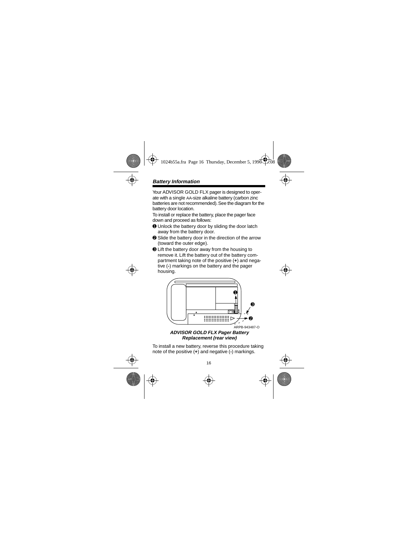Your ADVISOR GOLD FLX pager is designed to operate with a single AA-size alkaline battery (carbon zinc batteries are not recommended). See the diagram for the battery door location.

To install or replace the battery, place the pager face down and proceed as follows:

- ➊ Unlock the battery door by sliding the door latch away from the battery door.
- ➋ Slide the battery door in the direction of the arrow (toward the outer edge).
- ➌ Lift the battery door away from the housing to remove it. Lift the battery out of the battery compartment taking note of the positive (**+**) and negative (**-**) markings on the battery and the pager housing.



**ADVISOR GOLD FLX Pager Battery Replacement (rear view)**

To install a new battery, reverse this procedure taking note of the positive (**+**) and negative (**-**) markings.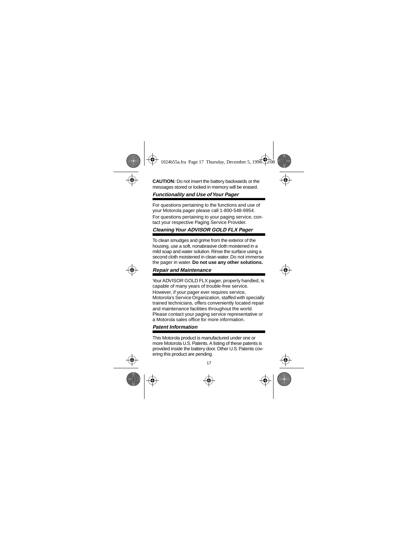**CAUTION:** Do not insert the battery backwards or the messages stored or locked in memory will be erased.

# **Functionality and Use of Your Pager**

For questions pertaining to the functions and use of your Motorola pager please call 1-800-548-9954. For questions pertaining to your paging service, contact your respective Paging Service Provider.

# **Cleaning Your ADVISOR GOLD FLX Pager**

To clean smudges and grime from the exterior of the housing, use a soft, nonabrasive cloth moistened in a mild soap and water solution. Rinse the surface using a second cloth moistened in clean water. Do not immerse the pager in water. **Do not use any other solutions.**

#### **Repair and Maintenance**

Your ADVISOR GOLD FLX pager, properly handled, is capable of many years of trouble-free service.

However, if your pager ever requires service, Motorola's Service Organization, staffed with specially trained technicians, offers conveniently located repair and maintenance facilities throughout the world. Please contact your paging service representative or a Motorola sales office for more information.

## **Patent Information**

This Motorola product is manufactured under one or more Motorola U.S. Patents. A listing of these patents is provided inside the battery door. Other U.S. Patents covering this product are pending.